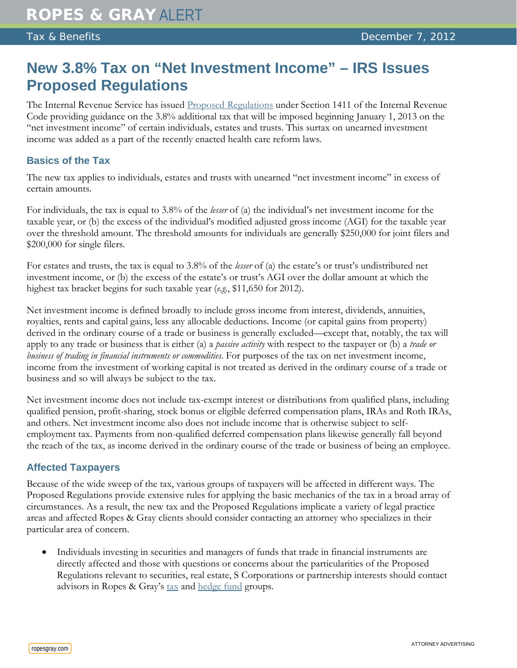## **New 3.8% Tax on "Net Investment Income" – IRS Issues Proposed Regulations**

The Internal Revenue Service has issued [Proposed Regulations](https://s3.amazonaws.com/public-inspection.federalregister.gov/2012-29238.pdf) under Section 1411 of the Internal Revenue Code providing guidance on the 3.8% additional tax that will be imposed beginning January 1, 2013 on the "net investment income" of certain individuals, estates and trusts. This surtax on unearned investment income was added as a part of the recently enacted health care reform laws.

## **Basics of the Tax**

The new tax applies to individuals, estates and trusts with unearned "net investment income" in excess of certain amounts.

For individuals, the tax is equal to 3.8% of the *lesser* of (a) the individual's net investment income for the taxable year, or (b) the excess of the individual's modified adjusted gross income (AGI) for the taxable year over the threshold amount. The threshold amounts for individuals are generally \$250,000 for joint filers and \$200,000 for single filers.

For estates and trusts, the tax is equal to 3.8% of the *lesser* of (a) the estate's or trust's undistributed net investment income, or (b) the excess of the estate's or trust's AGI over the dollar amount at which the highest tax bracket begins for such taxable year (*e.g.*, \$11,650 for 2012).

Net investment income is defined broadly to include gross income from interest, dividends, annuities, royalties, rents and capital gains, less any allocable deductions. Income (or capital gains from property) derived in the ordinary course of a trade or business is generally excluded—except that, notably, the tax will apply to any trade or business that is either (a) a *passive activity* with respect to the taxpayer or (b) a *trade or business of trading in financial instruments or commodities*. For purposes of the tax on net investment income, income from the investment of working capital is not treated as derived in the ordinary course of a trade or business and so will always be subject to the tax.

Net investment income does not include tax-exempt interest or distributions from qualified plans, including qualified pension, profit-sharing, stock bonus or eligible deferred compensation plans, IRAs and Roth IRAs, and others. Net investment income also does not include income that is otherwise subject to selfemployment tax. Payments from non-qualified deferred compensation plans likewise generally fall beyond the reach of the tax, as income derived in the ordinary course of the trade or business of being an employee.

## **Affected Taxpayers**

Because of the wide sweep of the tax, various groups of taxpayers will be affected in different ways. The Proposed Regulations provide extensive rules for applying the basic mechanics of the tax in a broad array of circumstances. As a result, the new tax and the Proposed Regulations implicate a variety of legal practice areas and affected Ropes & Gray clients should consider contacting an attorney who specializes in their particular area of concern.

• Individuals investing in securities and managers of funds that trade in financial instruments are directly affected and those with questions or concerns about the particularities of the Proposed Regulations relevant to securities, real estate, S Corporations or partnership interests should contact advisors in Ropes & Gray's [tax](http://www.ropesgray.com/tax/) and [hedge fund](http://www.ropesgray.com/hedgefunds/) groups.